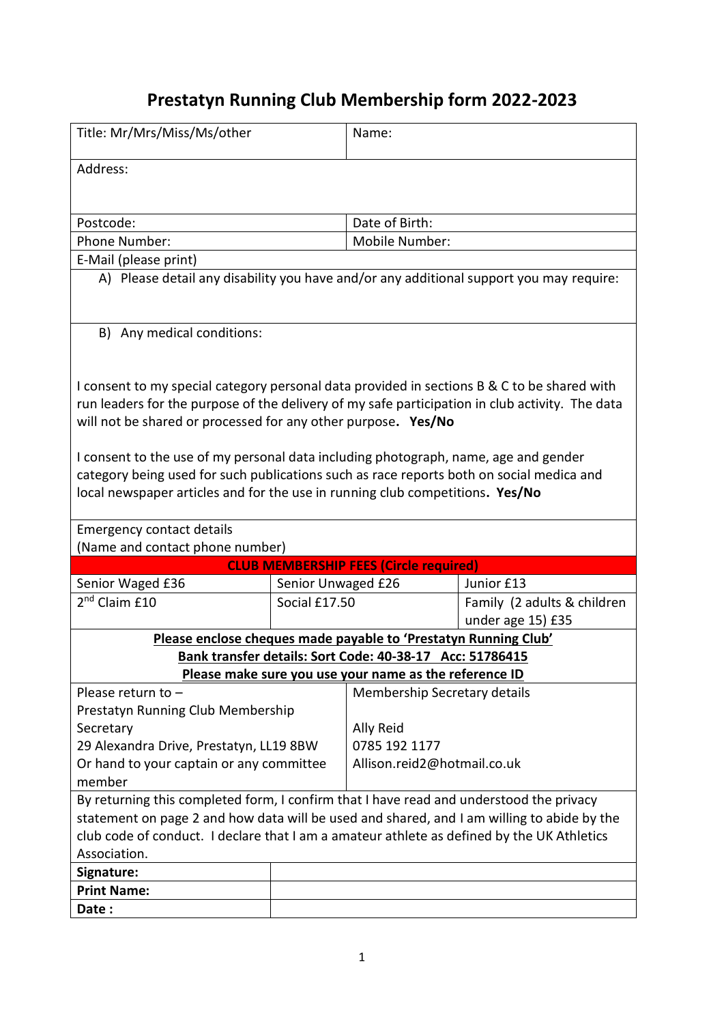## **Prestatyn Running Club Membership form 2022-2023**

| Title: Mr/Mrs/Miss/Ms/other                                                                     |                    | Name:                        |                             |
|-------------------------------------------------------------------------------------------------|--------------------|------------------------------|-----------------------------|
| Address:                                                                                        |                    |                              |                             |
|                                                                                                 |                    |                              |                             |
|                                                                                                 |                    |                              |                             |
| Postcode:                                                                                       |                    | Date of Birth:               |                             |
| <b>Phone Number:</b>                                                                            |                    | Mobile Number:               |                             |
| E-Mail (please print)                                                                           |                    |                              |                             |
| A) Please detail any disability you have and/or any additional support you may require:         |                    |                              |                             |
|                                                                                                 |                    |                              |                             |
|                                                                                                 |                    |                              |                             |
| B) Any medical conditions:                                                                      |                    |                              |                             |
|                                                                                                 |                    |                              |                             |
| I consent to my special category personal data provided in sections B & C to be shared with     |                    |                              |                             |
| run leaders for the purpose of the delivery of my safe participation in club activity. The data |                    |                              |                             |
| will not be shared or processed for any other purpose. Yes/No                                   |                    |                              |                             |
|                                                                                                 |                    |                              |                             |
| I consent to the use of my personal data including photograph, name, age and gender             |                    |                              |                             |
| category being used for such publications such as race reports both on social medica and        |                    |                              |                             |
| local newspaper articles and for the use in running club competitions. Yes/No                   |                    |                              |                             |
|                                                                                                 |                    |                              |                             |
| <b>Emergency contact details</b>                                                                |                    |                              |                             |
| (Name and contact phone number)                                                                 |                    |                              |                             |
| <b>CLUB MEMBERSHIP FEES (Circle required)</b>                                                   |                    |                              |                             |
| Senior Waged £36                                                                                | Senior Unwaged £26 |                              | Junior £13                  |
| 2 <sup>nd</sup> Claim £10                                                                       | Social £17.50      |                              | Family (2 adults & children |
|                                                                                                 |                    |                              | under age 15) £35           |
| Please enclose cheques made payable to 'Prestatyn Running Club'                                 |                    |                              |                             |
| Bank transfer details: Sort Code: 40-38-17 Acc: 51786415                                        |                    |                              |                             |
| Please make sure you use your name as the reference ID                                          |                    |                              |                             |
| Please return to -                                                                              |                    | Membership Secretary details |                             |
| Prestatyn Running Club Membership                                                               |                    |                              |                             |
| Secretary                                                                                       |                    | Ally Reid                    |                             |
| 29 Alexandra Drive, Prestatyn, LL19 8BW                                                         |                    | 0785 192 1177                |                             |
| Or hand to your captain or any committee                                                        |                    | Allison.reid2@hotmail.co.uk  |                             |
| member                                                                                          |                    |                              |                             |
| By returning this completed form, I confirm that I have read and understood the privacy         |                    |                              |                             |
| statement on page 2 and how data will be used and shared, and I am willing to abide by the      |                    |                              |                             |
| club code of conduct. I declare that I am a amateur athlete as defined by the UK Athletics      |                    |                              |                             |
| Association.                                                                                    |                    |                              |                             |
| Signature:                                                                                      |                    |                              |                             |
| <b>Print Name:</b>                                                                              |                    |                              |                             |
| Date:                                                                                           |                    |                              |                             |